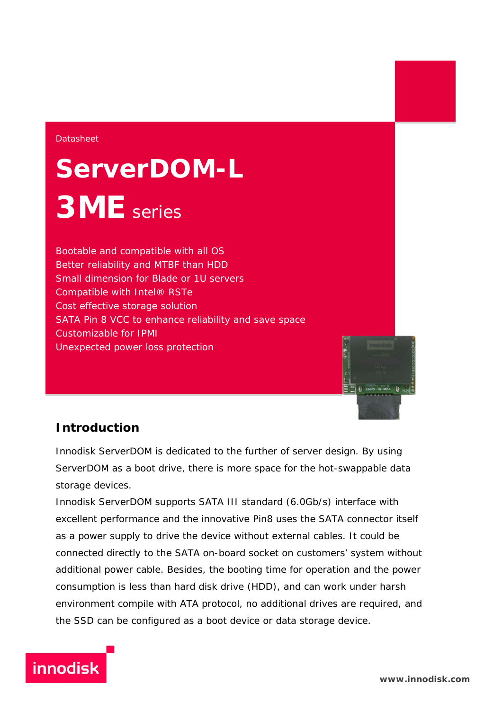**Datasheet** 

# **ServerDOM-L 3ME** series

Bootable and compatible with all OS Better reliability and MTBF than HDD Small dimension for Blade or 1U servers Compatible with Intel® RSTe Cost effective storage solution SATA Pin 8 VCC to enhance reliability and save space Customizable for IPMI Unexpected power loss protection



## **Introduction**

Innodisk ServerDOM is dedicated to the further of server design. By using ServerDOM as a boot drive, there is more space for the hot-swappable data storage devices.

Innodisk ServerDOM supports SATA III standard (6.0Gb/s) interface with excellent performance and the innovative Pin8 uses the SATA connector itself as a power supply to drive the device without external cables. It could be connected directly to the SATA on-board socket on customers' system without additional power cable. Besides, the booting time for operation and the power consumption is less than hard disk drive (HDD), and can work under harsh environment compile with ATA protocol, no additional drives are required, and the SSD can be configured as a boot device or data storage device.